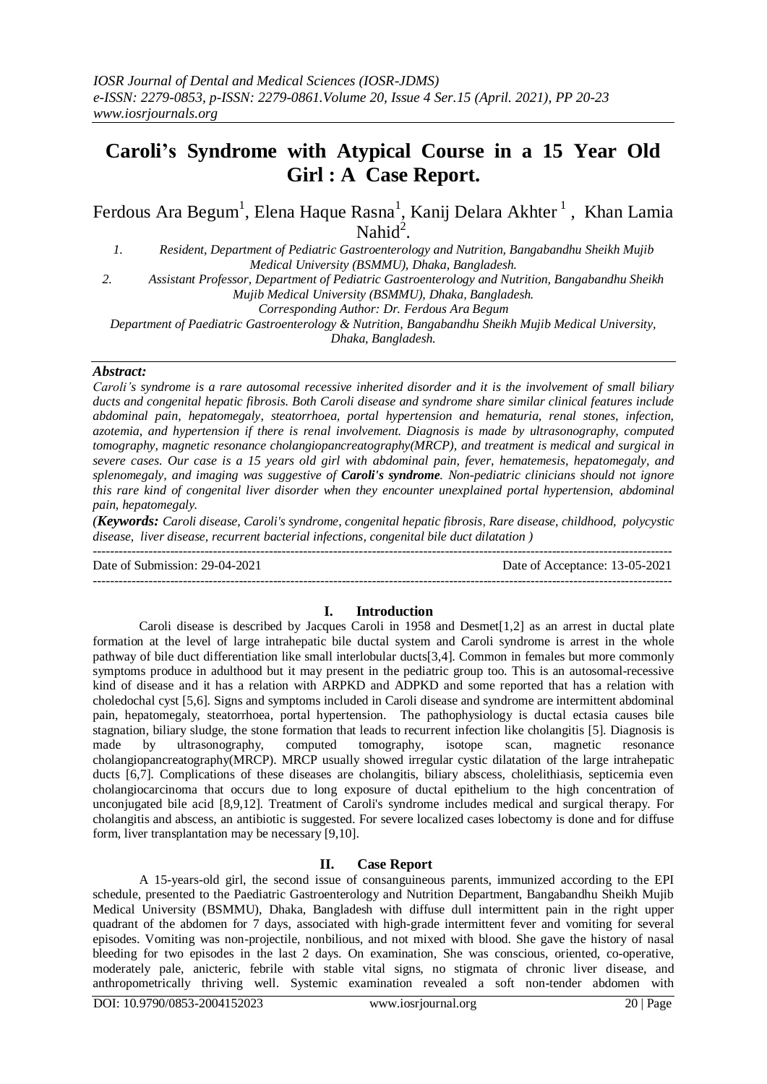# **Caroli's Syndrome with Atypical Course in a 15 Year Old Girl : A Case Report.**

Ferdous Ara Begum<sup>1</sup>, Elena Haque Rasna<sup>1</sup>, Kanij Delara Akhter<sup>1</sup>, Khan Lamia Nahid $^2$ .

*1. Resident, Department of Pediatric Gastroenterology and Nutrition, Bangabandhu Sheikh Mujib Medical University (BSMMU), Dhaka, Bangladesh.*

*2. Assistant Professor, Department of Pediatric Gastroenterology and Nutrition, Bangabandhu Sheikh* 

*Mujib Medical University (BSMMU), Dhaka, Bangladesh.*

*Corresponding Author: Dr. Ferdous Ara Begum*

*Department of Paediatric Gastroenterology & Nutrition, Bangabandhu Sheikh Mujib Medical University, Dhaka, Bangladesh.*

#### *Abstract:*

*Caroli's syndrome is a rare autosomal recessive inherited disorder and it is the involvement of small biliary ducts and congenital hepatic fibrosis. Both Caroli disease and syndrome share similar clinical features include abdominal pain, hepatomegaly, steatorrhoea, portal hypertension and hematuria, renal stones, infection, azotemia, and hypertension if there is renal involvement. Diagnosis is made by ultrasonography, computed tomography, magnetic resonance cholangiopancreatography(MRCP), and treatment is medical and surgical in severe cases. Our case is a 15 years old girl with abdominal pain, fever, hematemesis, hepatomegaly, and splenomegaly, and imaging was suggestive of Caroli's syndrome. Non-pediatric clinicians should not ignore this rare kind of congenital liver disorder when they encounter unexplained portal hypertension, abdominal pain, hepatomegaly.*

*(Keywords: Caroli disease, Caroli's syndrome, congenital hepatic fibrosis, Rare disease, childhood, polycystic disease, liver disease, recurrent bacterial infections, congenital bile duct dilatation )* ---------------------------------------------------------------------------------------------------------------------------------------

Date of Submission: 29-04-2021 Date of Acceptance: 13-05-2021

# **I. Introduction**

---------------------------------------------------------------------------------------------------------------------------------------

Caroli disease is described by Jacques Caroli in 1958 and Desmet[1,2] as an arrest in ductal plate formation at the level of large intrahepatic bile ductal system and Caroli syndrome is arrest in the whole pathway of bile duct differentiation like small interlobular ducts[3,4]. Common in females but more commonly symptoms produce in adulthood but it may present in the pediatric group too. This is an autosomal-recessive kind of disease and it has a relation with ARPKD and ADPKD and some reported that has a relation with choledochal cyst [5,6]. Signs and symptoms included in Caroli disease and syndrome are intermittent abdominal pain, hepatomegaly, steatorrhoea, portal hypertension. The pathophysiology is ductal ectasia causes bile stagnation, biliary sludge, the stone formation that leads to recurrent infection like cholangitis [5]. Diagnosis is made by ultrasonography, computed tomography, isotope scan, magnetic resonance cholangiopancreatography(MRCP). MRCP usually showed irregular cystic dilatation of the large intrahepatic ducts [6,7]. Complications of these diseases are cholangitis, biliary abscess, cholelithiasis, septicemia even cholangiocarcinoma that occurs due to long exposure of ductal epithelium to the high concentration of unconjugated bile acid [8,9,12]. Treatment of Caroli's syndrome includes medical and surgical therapy. For cholangitis and abscess, an antibiotic is suggested. For severe localized cases lobectomy is done and for diffuse form, liver transplantation may be necessary [9,10].

# **II. Case Report**

A 15-years-old girl, the second issue of consanguineous parents, immunized according to the EPI schedule, presented to the Paediatric Gastroenterology and Nutrition Department, Bangabandhu Sheikh Mujib Medical University (BSMMU), Dhaka, Bangladesh with diffuse dull intermittent pain in the right upper quadrant of the abdomen for 7 days, associated with high-grade intermittent fever and vomiting for several episodes. Vomiting was non-projectile, nonbilious, and not mixed with blood. She gave the history of nasal bleeding for two episodes in the last 2 days. On examination, She was conscious, oriented, co-operative, moderately pale, anicteric, febrile with stable vital signs, no stigmata of chronic liver disease, and anthropometrically thriving well. Systemic examination revealed a soft non-tender abdomen with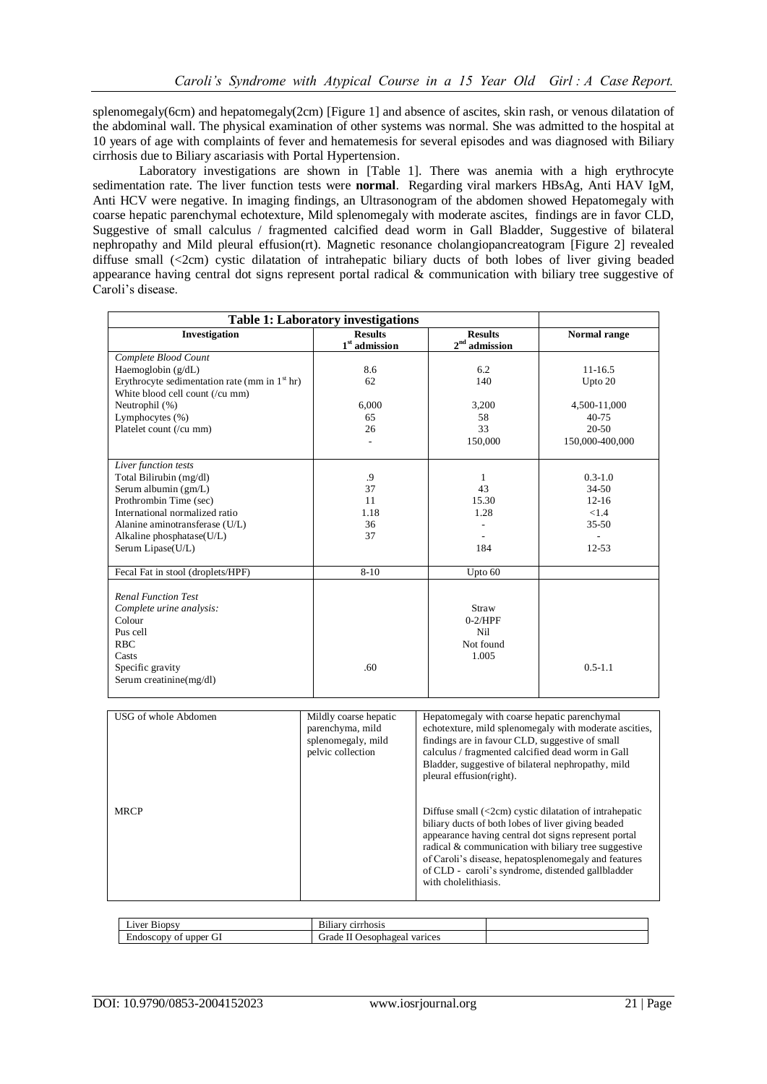splenomegaly(6cm) and hepatomegaly(2cm) [Figure 1] and absence of ascites, skin rash, or venous dilatation of the abdominal wall. The physical examination of other systems was normal. She was admitted to the hospital at 10 years of age with complaints of fever and hematemesis for several episodes and was diagnosed with Biliary cirrhosis due to Biliary ascariasis with Portal Hypertension.

Laboratory investigations are shown in [Table 1]. There was anemia with a high erythrocyte sedimentation rate. The liver function tests were **normal**. Regarding viral markers HBsAg, Anti HAV IgM, Anti HCV were negative. In imaging findings, an Ultrasonogram of the abdomen showed Hepatomegaly with coarse hepatic parenchymal echotexture, Mild splenomegaly with moderate ascites, findings are in favor CLD, Suggestive of small calculus / fragmented calcified dead worm in Gall Bladder, Suggestive of bilateral nephropathy and Mild pleural effusion(rt). Magnetic resonance cholangiopancreatogram [Figure 2] revealed diffuse small (<2cm) cystic dilatation of intrahepatic biliary ducts of both lobes of liver giving beaded appearance having central dot signs represent portal radical & communication with biliary tree suggestive of Caroli's disease.

| <b>Table 1: Laboratory investigations</b>       |                        |                                                                         |                          |
|-------------------------------------------------|------------------------|-------------------------------------------------------------------------|--------------------------|
| Investigation                                   | <b>Results</b>         | <b>Results</b>                                                          | Normal range             |
|                                                 | $1^{\rm st}$ admission | $2^{\rm nd}$ admission                                                  |                          |
| Complete Blood Count                            |                        |                                                                         |                          |
| Haemoglobin $(g/dL)$                            | 8.6                    | 6.2                                                                     | 11-16.5                  |
| Erythrocyte sedimentation rate (mm in $1st$ hr) | 62                     | 140                                                                     | Upto 20                  |
| White blood cell count (/cu mm)                 |                        |                                                                         |                          |
| Neutrophil (%)                                  | 6,000                  | 3,200                                                                   | 4,500-11,000             |
| Lymphocytes (%)                                 | 65                     | 58                                                                      | $40 - 75$                |
| Platelet count (/cu mm)                         | 26                     | 33                                                                      | 20-50                    |
|                                                 |                        | 150,000                                                                 | 150,000-400,000          |
|                                                 |                        |                                                                         |                          |
| Liver function tests                            |                        |                                                                         |                          |
| Total Bilirubin (mg/dl)                         | .9                     | 1                                                                       | $0.3 - 1.0$              |
| Serum albumin (gm/L)                            | 37                     | 43                                                                      | $34 - 50$                |
| Prothrombin Time (sec)                          | 11                     | 15.30                                                                   | $12-16$                  |
| International normalized ratio                  | 1.18                   | 1.28                                                                    | < 1.4                    |
| Alanine aminotransferase (U/L)                  | 36                     |                                                                         | $35 - 50$                |
| Alkaline phosphatase(U/L)                       | 37                     |                                                                         | $\overline{\phantom{a}}$ |
| Serum Lipase(U/L)                               |                        | 184                                                                     | $12 - 53$                |
|                                                 |                        |                                                                         |                          |
| Fecal Fat in stool (droplets/HPF)               | $8-10$                 | Upto 60                                                                 |                          |
| <b>Renal Function Test</b>                      |                        |                                                                         |                          |
| Complete urine analysis:                        |                        | Straw                                                                   |                          |
| Colour                                          |                        | $0-2/HPF$                                                               |                          |
| Pus cell                                        |                        | Nil                                                                     |                          |
| <b>RBC</b>                                      |                        | Not found                                                               |                          |
| Casts                                           |                        |                                                                         |                          |
|                                                 | .60                    | 1.005                                                                   | $0.5 - 1.1$              |
| Specific gravity                                |                        |                                                                         |                          |
| Serum creatinine(mg/dl)                         |                        |                                                                         |                          |
|                                                 |                        |                                                                         |                          |
| USG of whole Abdomen                            | Mildly coarse hepatic  | Hepatomegaly with coarse hepatic parenchymal                            |                          |
|                                                 | parenchyma, mild       | echotexture, mild splenomegaly with moderate ascities,                  |                          |
|                                                 | splenomegaly, mild     | findings are in favour CLD, suggestive of small                         |                          |
|                                                 | pelvic collection      | calculus / fragmented calcified dead worm in Gall                       |                          |
|                                                 |                        | Bladder, suggestive of bilateral nephropathy, mild                      |                          |
|                                                 |                        | pleural effusion(right).                                                |                          |
|                                                 |                        |                                                                         |                          |
|                                                 |                        |                                                                         |                          |
| <b>MRCP</b>                                     |                        | Diffuse small $\left($ <2cm $\right)$ cystic dilatation of intrahepatic |                          |

biliary ducts of both lobes of liver giving beaded appearance having central dot signs represent portal radical  $\&$  communication with biliary tree suggestive of Caroli's disease, hepatosplenomegaly and features of CLD - caroli's syndrome, distended gallbladder with cholelithiasis.

| 10005<br>aver                                       | D.11<br><b>10117</b><br>0.1111<br>rhosis<br>вшаг          |  |
|-----------------------------------------------------|-----------------------------------------------------------|--|
| Ð<br>Ht<br>upper<br>doscopv<br>m<br>u<br>ັບເ<br>. . | <b>Trade</b><br>varices<br>ഥല<br>$\cdot$ resopha.<br>2ca. |  |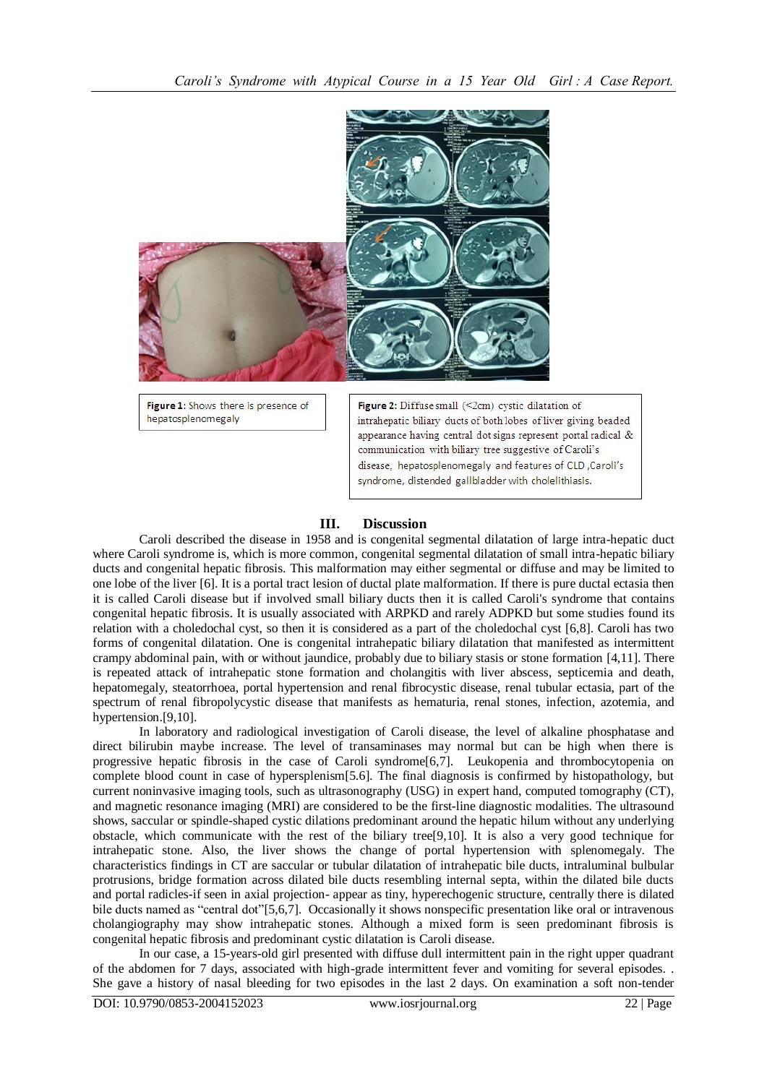

Figure 1: Shows there is presence of hepatosplenomegaly

Figure 2: Diffuse small  $($ <2cm) cystic dilatation of intrahepatic biliary ducts of both lobes of liver giving beaded appearance having central dot signs represent portal radical & communication with biliary tree suggestive of Caroli's disease, hepatosplenomegaly and features of CLD, Caroli's syndrome, distended gallbladder with cholelithiasis.

# **III. Discussion**

Caroli described the disease in 1958 and is congenital segmental dilatation of large intra-hepatic duct where Caroli syndrome is, which is more common, congenital segmental dilatation of small intra-hepatic biliary ducts and congenital hepatic fibrosis. This malformation may either segmental or diffuse and may be limited to one lobe of the liver [6]. It is a portal tract lesion of ductal plate malformation. If there is pure ductal ectasia then it is called Caroli disease but if involved small biliary ducts then it is called Caroli's syndrome that contains congenital hepatic fibrosis. It is usually associated with ARPKD and rarely ADPKD but some studies found its relation with a choledochal cyst, so then it is considered as a part of the choledochal cyst [6,8]. Caroli has two forms of congenital dilatation. One is congenital intrahepatic biliary dilatation that manifested as intermittent crampy abdominal pain, with or without jaundice, probably due to biliary stasis or stone formation [4,11]. There is repeated attack of intrahepatic stone formation and cholangitis with liver abscess, septicemia and death, hepatomegaly, steatorrhoea, portal hypertension and renal fibrocystic disease, renal tubular ectasia, part of the spectrum of renal fibropolycystic disease that manifests as hematuria, renal stones, infection, azotemia, and hypertension.[9,10].

In laboratory and radiological investigation of Caroli disease, the level of alkaline phosphatase and direct bilirubin maybe increase. The level of transaminases may normal but can be high when there is progressive hepatic fibrosis in the case of Caroli syndrome[6,7]. Leukopenia and thrombocytopenia on complete blood count in case of hypersplenism[5.6]. The final diagnosis is confirmed by histopathology, but current noninvasive imaging tools, such as ultrasonography (USG) in expert hand, computed tomography (CT), and magnetic resonance imaging (MRI) are considered to be the first-line diagnostic modalities. The ultrasound shows, saccular or spindle-shaped cystic dilations predominant around the hepatic hilum without any underlying obstacle, which communicate with the rest of the biliary tree[9,10]. It is also a very good technique for intrahepatic stone. Also, the liver shows the change of portal hypertension with splenomegaly. The characteristics findings in CT are saccular or tubular dilatation of intrahepatic bile ducts, intraluminal bulbular protrusions, bridge formation across dilated bile ducts resembling internal septa, within the dilated bile ducts and portal radicles-if seen in axial projection- appear as tiny, hyperechogenic structure, centrally there is dilated bile ducts named as "central dot"[5,6,7]. Occasionally it shows nonspecific presentation like oral or intravenous cholangiography may show intrahepatic stones. Although a mixed form is seen predominant fibrosis is congenital hepatic fibrosis and predominant cystic dilatation is Caroli disease.

In our case, a 15-years-old girl presented with diffuse dull intermittent pain in the right upper quadrant of the abdomen for 7 days, associated with high-grade intermittent fever and vomiting for several episodes. . She gave a history of nasal bleeding for two episodes in the last 2 days. On examination a soft non-tender